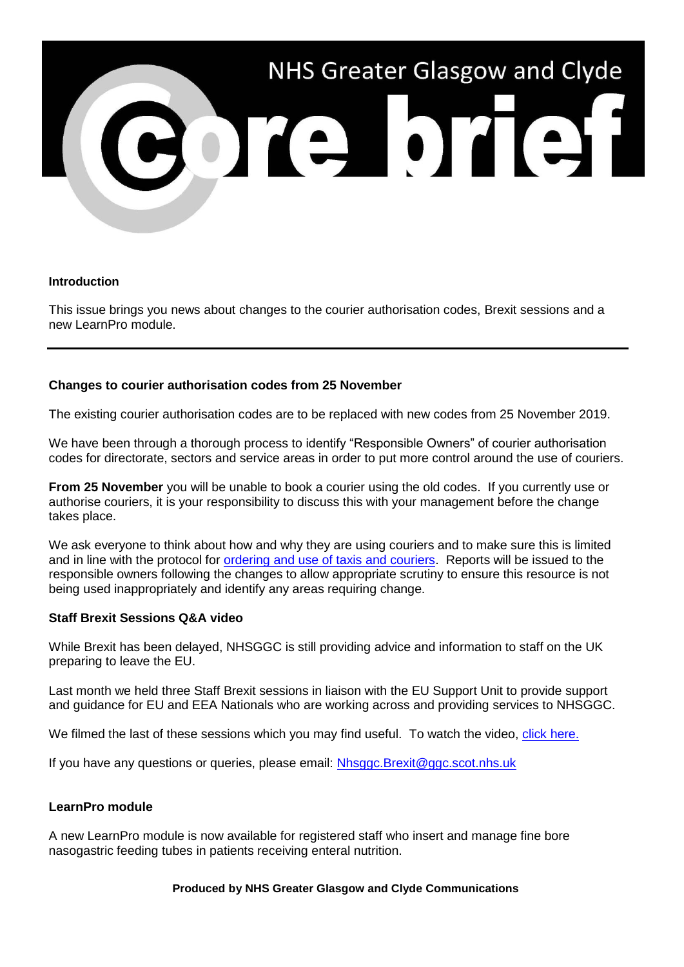

## **Introduction**

This issue brings you news about changes to the courier authorisation codes, Brexit sessions and a new LearnPro module.

# **Changes to courier authorisation codes from 25 November**

The existing courier authorisation codes are to be replaced with new codes from 25 November 2019.

We have been through a thorough process to identify "Responsible Owners" of courier authorisation codes for directorate, sectors and service areas in order to put more control around the use of couriers.

**From 25 November** you will be unable to book a courier using the old codes. If you currently use or authorise couriers, it is your responsibility to discuss this with your management before the change takes place.

We ask everyone to think about how and why they are using couriers and to make sure this is limited and in line with the protocol for [ordering and use of taxis and couriers.](http://www.staffnet.ggc.scot.nhs.uk/Corporate%20Services/Communications/Briefs/Documents/amended%20taxi%20protocol%20-%20phase%201_acute%20services.pdf) Reports will be issued to the responsible owners following the changes to allow appropriate scrutiny to ensure this resource is not being used inappropriately and identify any areas requiring change.

# **Staff Brexit Sessions Q&A video**

While Brexit has been delayed, NHSGGC is still providing advice and information to staff on the UK preparing to leave the EU.

Last month we held three Staff Brexit sessions in liaison with the EU Support Unit to provide support and guidance for EU and EEA Nationals who are working across and providing services to NHSGGC.

We filmed the last of these sessions which you may find useful. To watch the video, [click here.](http://www.nhsggc.org.uk/brexitinfo?utm_source=Core%20Brief&utm_medium=Email&utm_campaign=CB%20-%20brexit%20video)

If you have any questions or queries, please email: [Nhsggc.Brexit@ggc.scot.nhs.uk](mailto:Nhsggc.Brexit@ggc.scot.nhs.uk)

# **LearnPro module**

A new LearnPro module is now available for registered staff who insert and manage fine bore nasogastric feeding tubes in patients receiving enteral nutrition.

## **Produced by NHS Greater Glasgow and Clyde Communications**